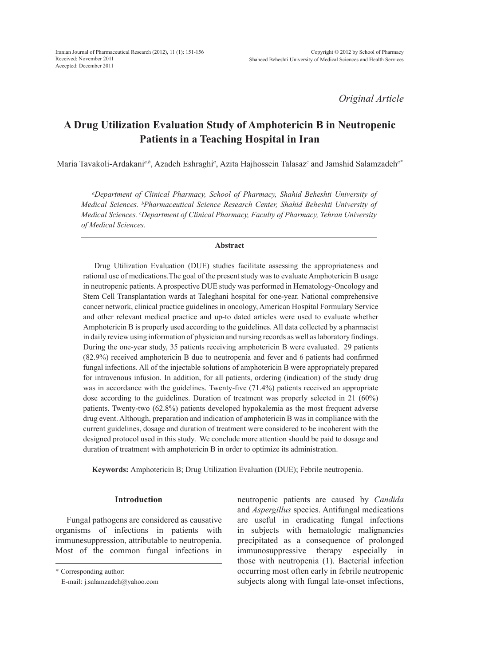*Original Article*

# **A Drug Utilization Evaluation Study of Amphotericin B in Neutropenic Patients in a Teaching Hospital in Iran**

Maria Tavakoli-Ardakani*a,b*, Azadeh Eshraghi*<sup>a</sup>* , Azita Hajhossein Talasaz*<sup>c</sup>* and Jamshid Salamzadeh*a\**

*a Department of Clinical Pharmacy, School of Pharmacy, Shahid Beheshti University of Medical Sciences. b Pharmaceutical Science Research Center, Shahid Beheshti University of Medical Sciences. c Department of Clinical Pharmacy, Faculty of Pharmacy, Tehran University of Medical Sciences.*

### **Abstract**

Drug Utilization Evaluation (DUE) studies facilitate assessing the appropriateness and rational use of medications.The goal of the present study was to evaluate Amphotericin B usage in neutropenic patients. A prospective DUE study was performed in Hematology-Oncology and Stem Cell Transplantation wards at Taleghani hospital for one-year. National comprehensive cancer network, clinical practice guidelines in oncology, American Hospital Formulary Service and other relevant medical practice and up-to dated articles were used to evaluate whether Amphotericin B is properly used according to the guidelines. All data collected by a pharmacist in daily review using information of physician and nursing records as well as laboratory findings. During the one-year study, 35 patients receiving amphotericin B were evaluated. 29 patients (82.9%) received amphotericin B due to neutropenia and fever and 6 patients had confirmed fungal infections. All of the injectable solutions of amphotericin B were appropriately prepared for intravenous infusion. In addition, for all patients, ordering (indication) of the study drug was in accordance with the guidelines. Twenty-five (71.4%) patients received an appropriate dose according to the guidelines. Duration of treatment was properly selected in 21 (60%) patients. Twenty-two (62.8%) patients developed hypokalemia as the most frequent adverse drug event. Although, preparation and indication of amphotericin B was in compliance with the current guidelines, dosage and duration of treatment were considered to be incoherent with the designed protocol used in this study. We conclude more attention should be paid to dosage and duration of treatment with amphotericin B in order to optimize its administration.

**Keywords:** Amphotericin B; Drug Utilization Evaluation (DUE); Febrile neutropenia.

## **Introduction**

Fungal pathogens are considered as causative organisms of infections in patients with immunesuppression, attributable to neutropenia. Most of the common fungal infections in neutropenic patients are caused by *Candida*  and *Aspergillus* species. Antifungal medications are useful in eradicating fungal infections in subjects with hematologic malignancies precipitated as a consequence of prolonged immunosuppressive therapy especially in those with neutropenia (1). Bacterial infection occurring most often early in febrile neutropenic subjects along with fungal late-onset infections,

<sup>\*</sup> Corresponding author:

E-mail: j.salamzadeh@yahoo.com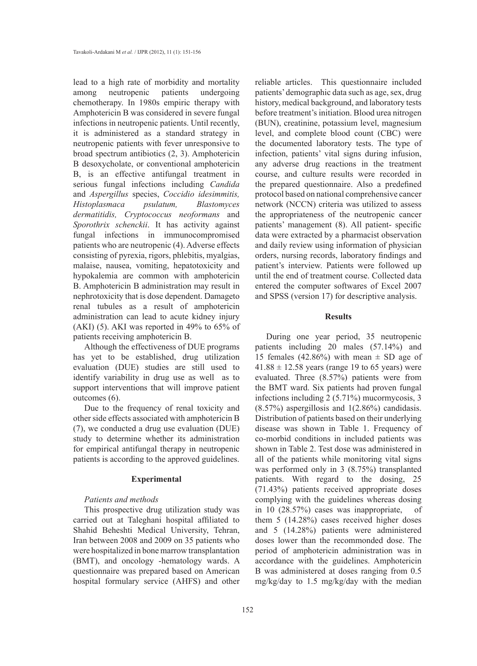lead to a high rate of morbidity and mortality among neutropenic patients undergoing chemotherapy. In 1980s empiric therapy with Amphotericin B was considered in severe fungal infections in neutropenic patients. Until recently, it is administered as a standard strategy in neutropenic patients with fever unresponsive to broad spectrum antibiotics (2, 3). Amphotericin B desoxycholate, or conventional amphotericin B, is an effective antifungal treatment in serious fungal infections including *Candida*  and *Aspergillus* species, *Coccidio idesimmitis, Histoplasmaca psulatum, Blastomyces dermatitidis, Cryptococcus neoformans* and *Sporothrix schenckii*. It has activity against fungal infections in immunocompromised patients who are neutropenic (4). Adverse effects consisting of pyrexia, rigors, phlebitis, myalgias, malaise, nausea, vomiting, hepatotoxicity and hypokalemia are common with amphotericin B. Amphotericin B administration may result in nephrotoxicity that is dose dependent. Damageto renal tubules as a result of amphotericin administration can lead to acute kidney injury (AKI) (5). AKI was reported in 49% to  $65\%$  of patients receiving amphotericin B.

Although the effectiveness of DUE programs has yet to be established, drug utilization evaluation (DUE) studies are still used to identify variability in drug use as well as to support interventions that will improve patient outcomes (6).

Due to the frequency of renal toxicity and other side effects associated with amphotericin B (7), we conducted a drug use evaluation (DUE) study to determine whether its administration for empirical antifungal therapy in neutropenic patients is according to the approved guidelines.

### **Experimental**

## *Patients and methods*

This prospective drug utilization study was carried out at Taleghani hospital affiliated to Shahid Beheshti Medical University, Tehran, Iran between 2008 and 2009 on 35 patients who were hospitalized in bone marrow transplantation (BMT), and oncology -hematology wards. A questionnaire was prepared based on American hospital formulary service (AHFS) and other

reliable articles. This questionnaire included patients' demographic data such as age, sex, drug history, medical background, and laboratory tests before treatment's initiation. Blood urea nitrogen (BUN), creatinine, potassium level, magnesium level, and complete blood count (CBC) were the documented laboratory tests. The type of infection, patients' vital signs during infusion, any adverse drug reactions in the treatment course, and culture results were recorded in the prepared questionnaire. Also a predefined protocol based on national comprehensive cancer network (NCCN) criteria was utilized to assess the appropriateness of the neutropenic cancer patients' management (8). All patient- specific data were extracted by a pharmacist observation and daily review using information of physician orders, nursing records, laboratory findings and patient's interview. Patients were followed up until the end of treatment course. Collected data entered the computer softwares of Excel 2007 and SPSS (version 17) for descriptive analysis.

## **Results**

During one year period, 35 neutropenic patients including 20 males (57.14%) and 15 females (42.86%) with mean  $\pm$  SD age of  $41.88 \pm 12.58$  years (range 19 to 65 years) were evaluated. Three (8.57%) patients were from the BMT ward. Six patients had proven fungal infections including 2 (5.71%) mucormycosis, 3 (8.57%) aspergillosis and 1(2.86%) candidasis. Distribution of patients based on their underlying disease was shown in Table 1. Frequency of co-morbid conditions in included patients was shown in Table 2. Test dose was administered in all of the patients while monitoring vital signs was performed only in 3 (8.75%) transplanted patients. With regard to the dosing, 25 (71.43%) patients received appropriate doses complying with the guidelines whereas dosing in 10 (28.57%) cases was inappropriate, of them 5 (14.28%) cases received higher doses and 5 (14.28%) patients were administered doses lower than the recommonded dose. The period of amphotericin administration was in accordance with the guidelines. Amphotericin B was administered at doses ranging from 0.5 mg/kg/day to 1.5 mg/kg/day with the median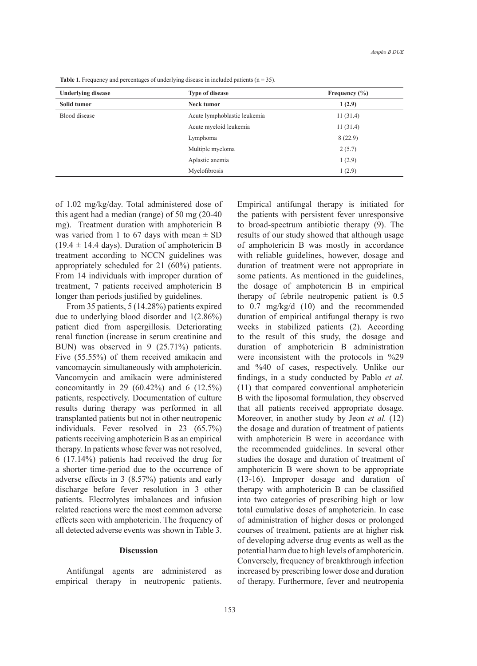**Underlying disease Type of disease Frequency (%) Solid tumor Neck tumor 1 (2.9)** Blood disease Acute lymphoblastic leukemia 11 (31.4) Acute myeloid leukemia 11 (31.4) Lymphoma 8 (22.9) Multiple myeloma 2 (5.7) Aplastic anemia 1 (2.9) Myelofibrosis 1 (2.9)

**Table 1.** Frequency and percentages of underlying disease in included patients ( $n = 35$ ).

of 1.02 mg/kg/day. Total administered dose of this agent had a median (range) of 50 mg (20-40 mg). Treatment duration with amphotericin B was varied from 1 to 67 days with mean  $\pm$  SD  $(19.4 \pm 14.4 \text{ days})$ . Duration of amphotericin B treatment according to NCCN guidelines was appropriately scheduled for 21 (60%) patients. From 14 individuals with improper duration of treatment, 7 patients received amphotericin B longer than periods justified by guidelines.

From 35 patients, 5 (14.28%) patients expired due to underlying blood disorder and 1(2.86%) patient died from aspergillosis. Deteriorating renal function (increase in serum creatinine and BUN) was observed in 9 (25.71%) patients. Five (55.55%) of them received amikacin and vancomaycin simultaneously with amphotericin. Vancomycin and amikacin were administered concomitantly in 29 (60.42%) and 6 (12.5%) patients, respectively. Documentation of culture results during therapy was performed in all transplanted patients but not in other neutropenic individuals. Fever resolved in 23 (65.7%) patients receiving amphotericin B as an empirical therapy. In patients whose fever was not resolved, 6 (17.14%) patients had received the drug for a shorter time-period due to the occurrence of adverse effects in 3 (8.57%) patients and early discharge before fever resolution in 3 other patients. Electrolytes imbalances and infusion related reactions were the most common adverse effects seen with amphotericin. The frequency of all detected adverse events was shown in Table 3.

## **Discussion**

Antifungal agents are administered as empirical therapy in neutropenic patients.

Empirical antifungal therapy is initiated for the patients with persistent fever unresponsive to broad-spectrum antibiotic therapy (9). The results of our study showed that although usage of amphotericin B was mostly in accordance with reliable guidelines, however, dosage and duration of treatment were not appropriate in some patients. As mentioned in the guidelines, the dosage of amphotericin B in empirical therapy of febrile neutropenic patient is 0.5 to 0.7 mg/kg/d (10) and the recommended duration of empirical antifungal therapy is two weeks in stabilized patients (2). According to the result of this study, the dosage and duration of amphotericin B administration were inconsistent with the protocols in %29 and %40 of cases, respectively. Unlike our findings, in a study conducted by Pablo *et al.* (11) that compared conventional amphotericin B with the liposomal formulation, they observed that all patients received appropriate dosage. Moreover, in another study by Jeon *et al.* (12) the dosage and duration of treatment of patients with amphotericin B were in accordance with the recommended guidelines. In several other studies the dosage and duration of treatment of amphotericin B were shown to be appropriate (13-16). Improper dosage and duration of therapy with amphotericin B can be classified into two categories of prescribing high or low total cumulative doses of amphotericin. In case of administration of higher doses or prolonged courses of treatment, patients are at higher risk of developing adverse drug events as well as the potential harm due to high levels of amphotericin. Conversely, frequency of breakthrough infection increased by prescribing lower dose and duration of therapy. Furthermore, fever and neutropenia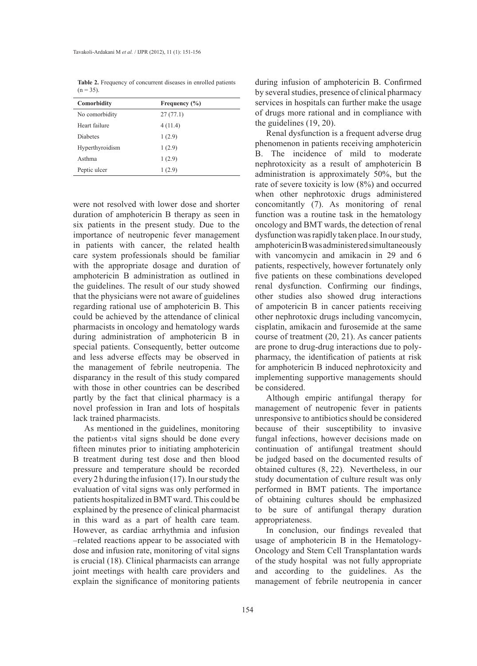**Table 2.** Frequency of concurrent diseases in enrolled patients  $(n = 35)$ .

| Comorbidity     | Frequency $(\% )$ |
|-----------------|-------------------|
| No comorbidity  | 27(77.1)          |
| Heart failure   | 4(11.4)           |
| <b>Diabetes</b> | 1(2.9)            |
| Hyperthyroidism | 1(2.9)            |
| Asthma          | 1(2.9)            |
| Peptic ulcer    | 1(2.9)            |

were not resolved with lower dose and shorter duration of amphotericin B therapy as seen in six patients in the present study. Due to the importance of neutropenic fever management in patients with cancer, the related health care system professionals should be familiar with the appropriate dosage and duration of amphotericin B administration as outlined in the guidelines. The result of our study showed that the physicians were not aware of guidelines regarding rational use of amphotericin B. This could be achieved by the attendance of clinical pharmacists in oncology and hematology wards during administration of amphotericin B in special patients. Consequently, better outcome and less adverse effects may be observed in the management of febrile neutropenia. The disparancy in the result of this study compared with those in other countries can be described partly by the fact that clinical pharmacy is a novel profession in Iran and lots of hospitals lack trained pharmacists.

As mentioned in the guidelines, monitoring the patient›s vital signs should be done every fifteen minutes prior to initiating amphotericin B treatment during test dose and then blood pressure and temperature should be recorded every 2 h during the infusion (17). In our study the evaluation of vital signs was only performed in patients hospitalized in BMT ward. This could be explained by the presence of clinical pharmacist in this ward as a part of health care team. However, as cardiac arrhythmia and infusion –related reactions appear to be associated with dose and infusion rate, monitoring of vital signs is crucial (18). Clinical pharmacists can arrange joint meetings with health care providers and explain the significance of monitoring patients

during infusion of amphotericin B. Confirmed by several studies, presence of clinical pharmacy services in hospitals can further make the usage of drugs more rational and in compliance with the guidelines (19, 20).

Renal dysfunction is a frequent adverse drug phenomenon in patients receiving amphotericin B. The incidence of mild to moderate nephrotoxicity as a result of amphotericin B administration is approximately 50%, but the rate of severe toxicity is low (8%) and occurred when other nephrotoxic drugs administered concomitantly (7). As monitoring of renal function was a routine task in the hematology oncology and BMT wards, the detection of renal dysfunction was rapidly taken place. In our study, amphotericin B was administered simultaneously with vancomycin and amikacin in 29 and 6 patients, respectively, however fortunately only five patients on these combinations developed renal dysfunction. Confirming our findings, other studies also showed drug interactions of ampotericin B in cancer patients receiving other nephrotoxic drugs including vancomycin, cisplatin, amikacin and furosemide at the same course of treatment (20, 21). As cancer patients are prone to drug-drug interactions due to polypharmacy, the identification of patients at risk for amphotericin B induced nephrotoxicity and implementing supportive managements should be considered.

Although empiric antifungal therapy for management of neutropenic fever in patients unresponsive to antibiotics should be considered because of their susceptibility to invasive fungal infections, however decisions made on continuation of antifungal treatment should be judged based on the documented results of obtained cultures (8, 22). Nevertheless, in our study documentation of culture result was only performed in BMT patients. The importance of obtaining cultures should be emphasized to be sure of antifungal therapy duration appropriateness.

In conclusion, our findings revealed that usage of amphotericin B in the Hematology-Oncology and Stem Cell Transplantation wards of the study hospital was not fully appropriate and according to the guidelines. As the management of febrile neutropenia in cancer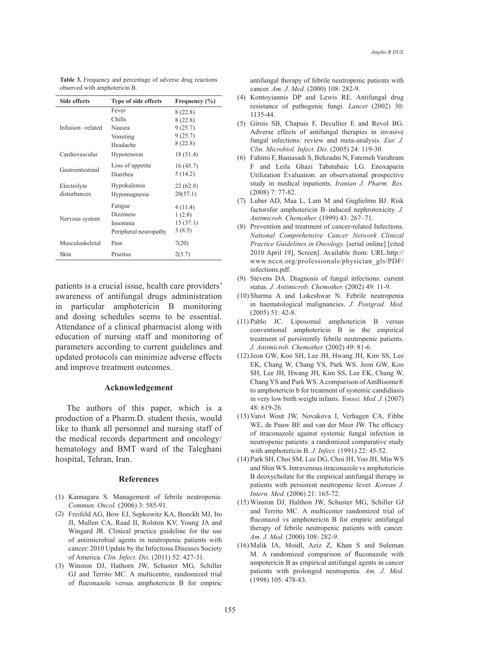| <b>Table 3.</b> Frequency and percentage of adverse drug reactions |  |  |
|--------------------------------------------------------------------|--|--|
| observed with amphotericin B.                                      |  |  |

| Side effects      | Type of side effects  | Frequency $(\% )$ |
|-------------------|-----------------------|-------------------|
|                   | Fever                 | 8(22.8)           |
|                   | Chills                | 8(22.8)           |
| Infusion -related | Nausea                | 9(25.7)           |
|                   | Vomiting              | 9(25.7)           |
|                   | Headache              | 8(22.8)           |
| Cardiovascular    | Hypotension           | 18 (51.4)         |
| Gastrointestinal  | Loss of appetite      | 16(45.7)          |
|                   | Diarrhea              | 5(14.2)           |
| Electrolyte       | Hypokalemia           | 22 (62.8)         |
| disturbances      | Hypomagnesia          | 20(57.1)          |
|                   | Fatigue               | 4(11.4)           |
| Nervous system    | <b>Dizziness</b>      | 1(2.8)            |
|                   | Insomnia              | 13(37.1)          |
|                   | Peripheral neuropathy | 3(8.5)            |
| Musculoskeletal   | Pain                  | 7(20)             |
| Skin              | Pruritus              | 2(5.7)            |

patients is a crucial issue, health care providers' awareness of antifungal drugs administration in particular amphotericin B monitoring and dosing schedules seems to be essential. Attendance of a clinical pharmacist along with education of nursing staff and monitoring of parameters according to current guidelines and updated protocols can minimize adverse effects and improve treatment outcomes.

## **Acknowledgement**

The authors of this paper, which is a production of a Pharm.D. student thesis, would like to thank all personnel and nursing staff of the medical records department and oncology/ hematology and BMT ward of the Taleghani hospital, Tehran, Iran.

#### **References**

- (1) Kannagara S. Management of febrile neutropenia. *Commun. Oncol.* (2006) 3: 585-91.
- Freifeld AG, Bow EJ, Sepkowitz KA, Boeckh MJ, Ito (2) JI, Mullen CA, Raad II, Rolston KV, Young JA and Wingard JR. Clinical practice guideline for the use of antimicrobial agents in neutropenic patients with cancer: 2010 Update by the Infectious Diseases Society of America. *Clin. Infect. Dis.* (2011) 52: 427-31.
- Winston DJ, Hathorn JW, Schuster MG, Schiller (3) GJ and Territo MC. A multicentre, randomized trial of fluconazole versus amphotericin B for empiric

antifungal therapy of febrile neutropenic patients with cancer. *Am. J. Med.* (2000) 108: 282-9.

- (4) Kontoyiannis DP and Lewis RE. Antifungal drug resistance of pathogenic fungi. *Lancet* (2002) 30: 1135-44.
- Girois SB, Chapuis F, Decullier E and Revol BG. (5) Adverse effects of antifungal therapies in invasive fungal infections: review and meta-analysis. *Eur. J. Clin. Microbiol. Infect. Dis.* (2005) 24: 119-30.
- Fahimi F, Baniasadi S, Behzadni N, Fatemeh Varahram (6) F and Leila Ghazi Tabatabaie LG. Enoxaparin Utilization Evaluation: an observational prospective study in medical inpatients. *Iranian J. Pharm. Res*. (2008) 7: 77-82.
- Luber AD, Maa L, Lam M and Guglielmo BJ. Risk (7) factorsfor amphotericin B–induced nephrotoxicity. *J. Antimicrob. Chemother.* (1999) 43: 267–71.
- (8) Prevention and treatment of cancer-related Infections. *National Comprehensive Cancer Network Clinical Practice Guidelines in Oncology.* [serial online] [cited 2010 April 19], Screen]. Available from: URL:http:// www.nccn.org/professionals/physician\_gls/PDF/ infections.pdf.
- (9) Stevens DA. Diagnosis of fungal infections: current status. *J. Antimicrob. Chemother.* (2002) 49: 11-9.
- $(10)$  Sharma A and Lokeshwar N. Febrile neutropenia in haematological malignancies. *J. Postgrad. Med.* (2005) 51: 42-8.
- Pablo JC. Liposomal amphotericin B versus (11) conventional amphotericin B in the empirical treatment of persistently febrile neutropenic patients. *J. Antimicrob. Chemother.* (2002) 49: 81-6.
- (12) Jeon GW, Koo SH, Lee JH, Hwang JH, Kim SS, Lee EK, Chang W, Chang YS, Park WS. Jeon GW, Koo SH, Lee JH, Hwang JH, Kim SS, Lee EK, Chang W, Chang YS and Park WS. A comparison of AmBisome® to amphotericin b for treatment of systemic candidiasis in very low birth weight infants. *Yonsei. Med. J.* (2007) 48: 619-26.
- (13) Van>t Wout JW, Novakova I, Verhagen CA, Fibbe WE, de Pauw BE and van der Meer JW. The efficacy of itraconazole against systemic fungal infection in neutropenic patients: a randomized comparative study with amphotericin B. *J. Infect.* (1991) 22: 45-52.
- Park SH, Choi SM, Lee DG, Choi JH, Yoo JH, Min WS (14) and Shin WS. Intravenous itraconazole vs amphotericin B deoxycholate for the empirical antifungal therapy in patients with persistent neutropenic fever*. Korean J. Intern. Med.* (2006) 21: 165-72.
- Winston DJ, Halthon JW, Schuster MG, Schiller GJ (15) and Territo MC. A multicenter randomized trial of fluconazol vs amphotericin B for empiric antifungal therapy of febrile neutropenic patients with cancer. *Am. J. Med.* (2000) 108: 282-9.
- $(16)$  Malik IA, MoidI, Aziz Z, Khan S and Suleman M. A randomized comparison of fluconazole with ampotericin B as empirical antifungal agents in cancer patients with prolonged neutropenia. *Am. J. Med.* (1998) 105: 478-83.